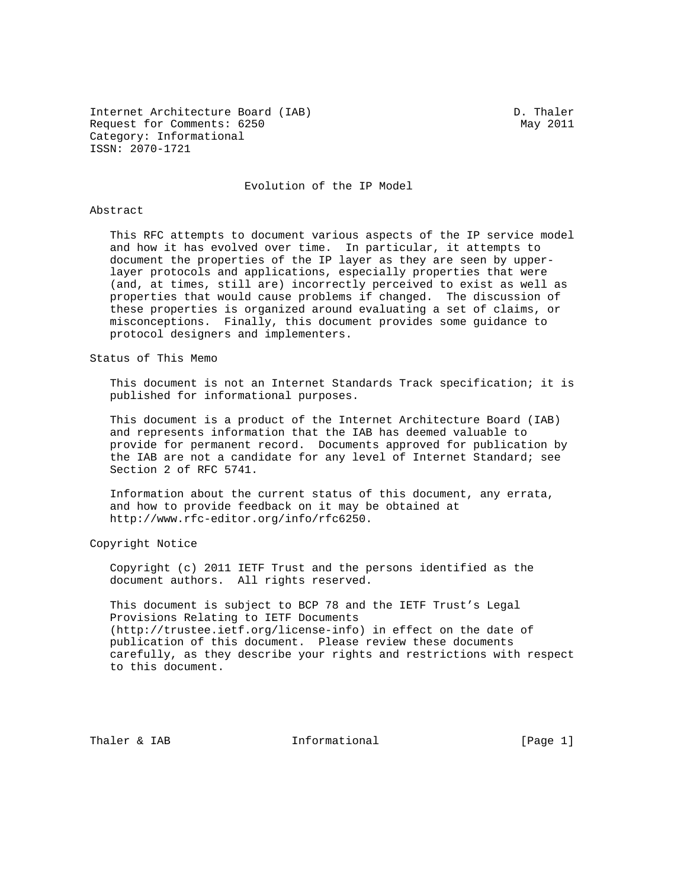Internet Architecture Board (IAB) D. Thaler Request for Comments: 6250 May 2011 Category: Informational ISSN: 2070-1721

Evolution of the IP Model

#### Abstract

 This RFC attempts to document various aspects of the IP service model and how it has evolved over time. In particular, it attempts to document the properties of the IP layer as they are seen by upper layer protocols and applications, especially properties that were (and, at times, still are) incorrectly perceived to exist as well as properties that would cause problems if changed. The discussion of these properties is organized around evaluating a set of claims, or misconceptions. Finally, this document provides some guidance to protocol designers and implementers.

Status of This Memo

 This document is not an Internet Standards Track specification; it is published for informational purposes.

 This document is a product of the Internet Architecture Board (IAB) and represents information that the IAB has deemed valuable to provide for permanent record. Documents approved for publication by the IAB are not a candidate for any level of Internet Standard; see Section 2 of RFC 5741.

 Information about the current status of this document, any errata, and how to provide feedback on it may be obtained at http://www.rfc-editor.org/info/rfc6250.

Copyright Notice

 Copyright (c) 2011 IETF Trust and the persons identified as the document authors. All rights reserved.

 This document is subject to BCP 78 and the IETF Trust's Legal Provisions Relating to IETF Documents (http://trustee.ietf.org/license-info) in effect on the date of publication of this document. Please review these documents carefully, as they describe your rights and restrictions with respect to this document.

Thaler & IAB  $\qquad \qquad$  Informational  $\qquad \qquad$  [Page 1]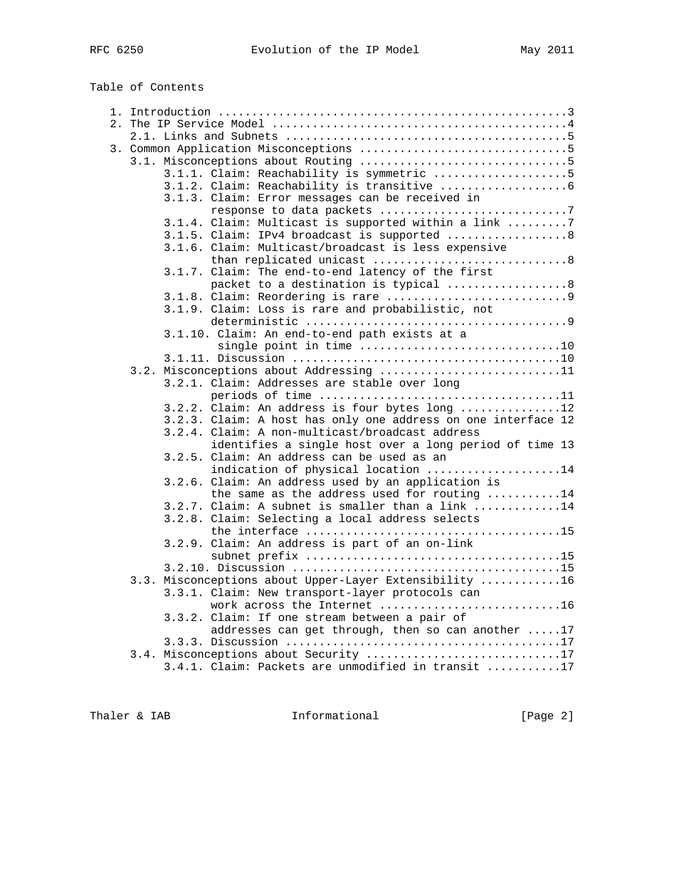Table of Contents

|  | 3.1.1. Claim: Reachability is symmetric 5                     |
|--|---------------------------------------------------------------|
|  |                                                               |
|  | 3.1.3. Claim: Error messages can be received in               |
|  | response to data packets 7                                    |
|  | 3.1.4. Claim: Multicast is supported within a link 7          |
|  | 3.1.5. Claim: IPv4 broadcast is supported 8                   |
|  | 3.1.6. Claim: Multicast/broadcast is less expensive           |
|  | than replicated unicast 8                                     |
|  | 3.1.7. Claim: The end-to-end latency of the first             |
|  | packet to a destination is typical 8                          |
|  |                                                               |
|  | 3.1.9. Claim: Loss is rare and probabilistic, not             |
|  |                                                               |
|  | 3.1.10. Claim: An end-to-end path exists at a                 |
|  | single point in time 10                                       |
|  |                                                               |
|  | 3.2. Misconceptions about Addressing 11                       |
|  | 3.2.1. Claim: Addresses are stable over long                  |
|  |                                                               |
|  | 3.2.2. Claim: An address is four bytes long 12                |
|  | 3.2.3. Claim: A host has only one address on one interface 12 |
|  | 3.2.4. Claim: A non-multicast/broadcast address               |
|  | identifies a single host over a long period of time 13        |
|  | 3.2.5. Claim: An address can be used as an                    |
|  | indication of physical location 14                            |
|  | 3.2.6. Claim: An address used by an application is            |
|  | the same as the address used for routing 14                   |
|  | 3.2.7. Claim: A subnet is smaller than a link 14              |
|  | 3.2.8. Claim: Selecting a local address selects               |
|  |                                                               |
|  | 3.2.9. Claim: An address is part of an on-link                |
|  |                                                               |
|  |                                                               |
|  | 3.3. Misconceptions about Upper-Layer Extensibility 16        |
|  | 3.3.1. Claim: New transport-layer protocols can               |
|  | work across the Internet 16                                   |
|  | 3.3.2. Claim: If one stream between a pair of                 |
|  | addresses can get through, then so can another 17             |
|  |                                                               |
|  | 3.4. Misconceptions about Security 17                         |
|  | 3.4.1. Claim: Packets are unmodified in transit 17            |

Thaler & IAB **Informational** [Page 2]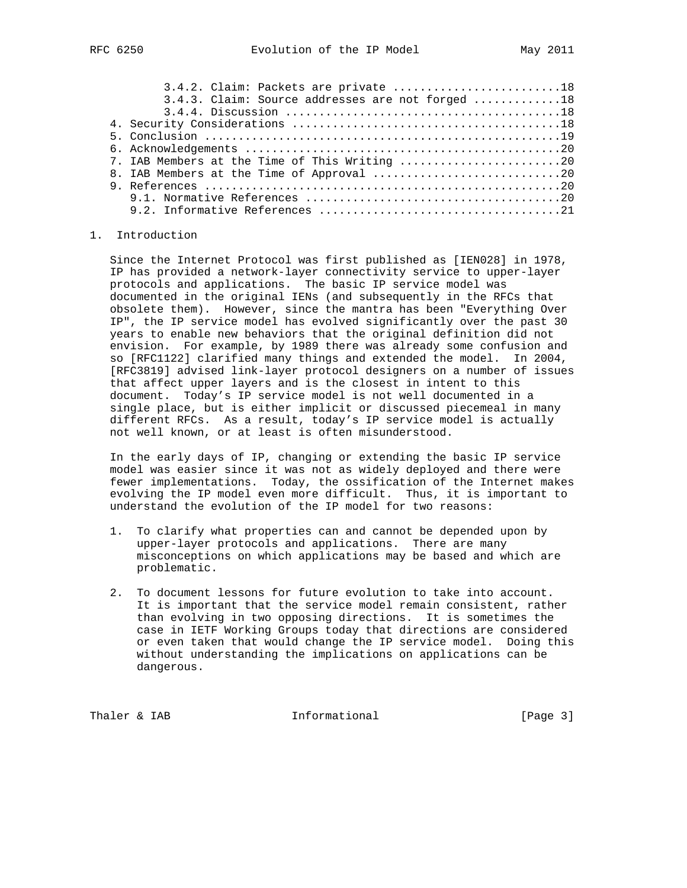| RFC 6250 |  |
|----------|--|
|          |  |

| 3.4.2. Claim: Packets are private 18             |  |
|--------------------------------------------------|--|
| 3.4.3. Claim: Source addresses are not forged 18 |  |
|                                                  |  |
|                                                  |  |
|                                                  |  |
|                                                  |  |
| 7. IAB Members at the Time of This Writing 20    |  |
| 8. IAB Members at the Time of Approval 20        |  |
|                                                  |  |
|                                                  |  |
|                                                  |  |
|                                                  |  |

#### 1. Introduction

 Since the Internet Protocol was first published as [IEN028] in 1978, IP has provided a network-layer connectivity service to upper-layer protocols and applications. The basic IP service model was documented in the original IENs (and subsequently in the RFCs that obsolete them). However, since the mantra has been "Everything Over IP", the IP service model has evolved significantly over the past 30 years to enable new behaviors that the original definition did not envision. For example, by 1989 there was already some confusion and so [RFC1122] clarified many things and extended the model. In 2004, [RFC3819] advised link-layer protocol designers on a number of issues that affect upper layers and is the closest in intent to this document. Today's IP service model is not well documented in a single place, but is either implicit or discussed piecemeal in many different RFCs. As a result, today's IP service model is actually not well known, or at least is often misunderstood.

 In the early days of IP, changing or extending the basic IP service model was easier since it was not as widely deployed and there were fewer implementations. Today, the ossification of the Internet makes evolving the IP model even more difficult. Thus, it is important to understand the evolution of the IP model for two reasons:

- 1. To clarify what properties can and cannot be depended upon by upper-layer protocols and applications. There are many misconceptions on which applications may be based and which are problematic.
- 2. To document lessons for future evolution to take into account. It is important that the service model remain consistent, rather than evolving in two opposing directions. It is sometimes the case in IETF Working Groups today that directions are considered or even taken that would change the IP service model. Doing this without understanding the implications on applications can be dangerous.

Thaler & IAB **Informational** [Page 3]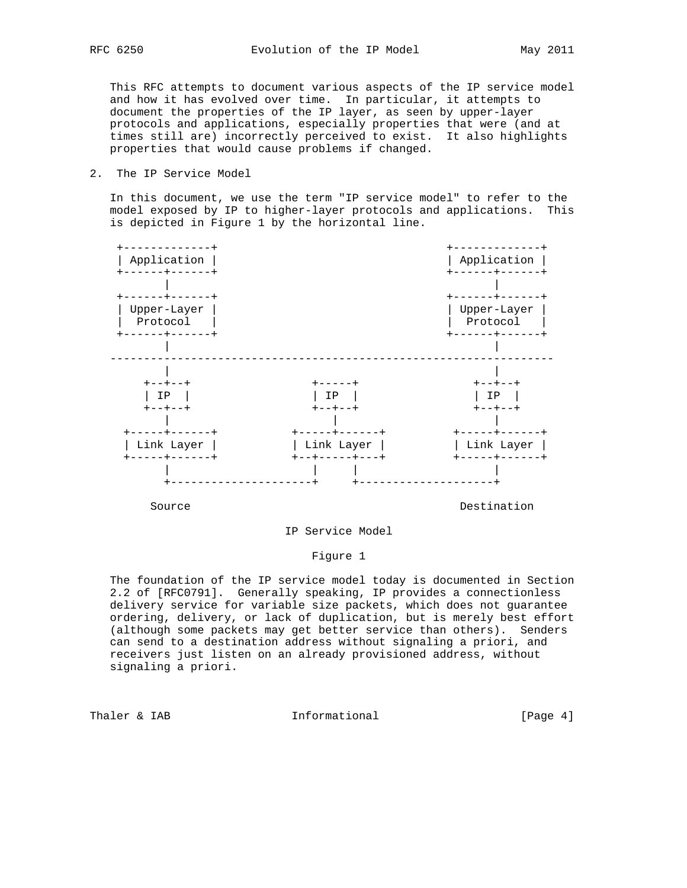This RFC attempts to document various aspects of the IP service model and how it has evolved over time. In particular, it attempts to document the properties of the IP layer, as seen by upper-layer protocols and applications, especially properties that were (and at times still are) incorrectly perceived to exist. It also highlights properties that would cause problems if changed.

## 2. The IP Service Model

 In this document, we use the term "IP service model" to refer to the model exposed by IP to higher-layer protocols and applications. This is depicted in Figure 1 by the horizontal line.



Source **Destination** 

IP Service Model

### Figure 1

 The foundation of the IP service model today is documented in Section 2.2 of [RFC0791]. Generally speaking, IP provides a connectionless delivery service for variable size packets, which does not guarantee ordering, delivery, or lack of duplication, but is merely best effort (although some packets may get better service than others). Senders can send to a destination address without signaling a priori, and receivers just listen on an already provisioned address, without signaling a priori.

Thaler & IAB **Informational** [Page 4]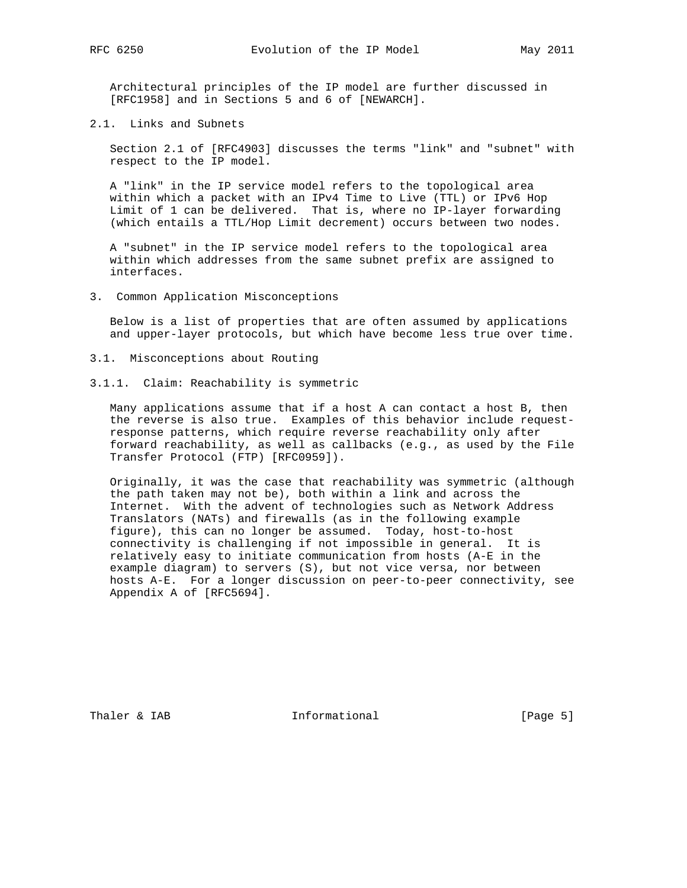Architectural principles of the IP model are further discussed in [RFC1958] and in Sections 5 and 6 of [NEWARCH].

2.1. Links and Subnets

 Section 2.1 of [RFC4903] discusses the terms "link" and "subnet" with respect to the IP model.

 A "link" in the IP service model refers to the topological area within which a packet with an IPv4 Time to Live (TTL) or IPv6 Hop Limit of 1 can be delivered. That is, where no IP-layer forwarding (which entails a TTL/Hop Limit decrement) occurs between two nodes.

 A "subnet" in the IP service model refers to the topological area within which addresses from the same subnet prefix are assigned to interfaces.

#### 3. Common Application Misconceptions

 Below is a list of properties that are often assumed by applications and upper-layer protocols, but which have become less true over time.

#### 3.1. Misconceptions about Routing

3.1.1. Claim: Reachability is symmetric

 Many applications assume that if a host A can contact a host B, then the reverse is also true. Examples of this behavior include request response patterns, which require reverse reachability only after forward reachability, as well as callbacks (e.g., as used by the File Transfer Protocol (FTP) [RFC0959]).

 Originally, it was the case that reachability was symmetric (although the path taken may not be), both within a link and across the Internet. With the advent of technologies such as Network Address Translators (NATs) and firewalls (as in the following example figure), this can no longer be assumed. Today, host-to-host connectivity is challenging if not impossible in general. It is relatively easy to initiate communication from hosts (A-E in the example diagram) to servers (S), but not vice versa, nor between hosts A-E. For a longer discussion on peer-to-peer connectivity, see Appendix A of [RFC5694].

Thaler & IAB **Informational** [Page 5]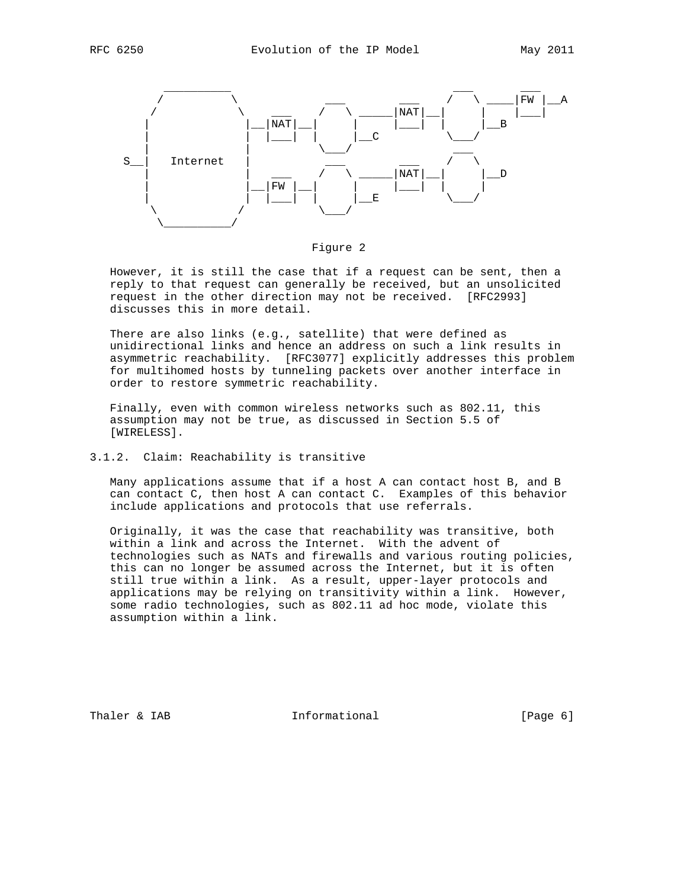

Figure 2

 However, it is still the case that if a request can be sent, then a reply to that request can generally be received, but an unsolicited request in the other direction may not be received. [RFC2993] discusses this in more detail.

 There are also links (e.g., satellite) that were defined as unidirectional links and hence an address on such a link results in asymmetric reachability. [RFC3077] explicitly addresses this problem for multihomed hosts by tunneling packets over another interface in order to restore symmetric reachability.

 Finally, even with common wireless networks such as 802.11, this assumption may not be true, as discussed in Section 5.5 of [WIRELESS].

# 3.1.2. Claim: Reachability is transitive

 Many applications assume that if a host A can contact host B, and B can contact C, then host A can contact C. Examples of this behavior include applications and protocols that use referrals.

 Originally, it was the case that reachability was transitive, both within a link and across the Internet. With the advent of technologies such as NATs and firewalls and various routing policies, this can no longer be assumed across the Internet, but it is often still true within a link. As a result, upper-layer protocols and applications may be relying on transitivity within a link. However, some radio technologies, such as 802.11 ad hoc mode, violate this assumption within a link.

Thaler & IAB  $I_n$  Informational [Page 6]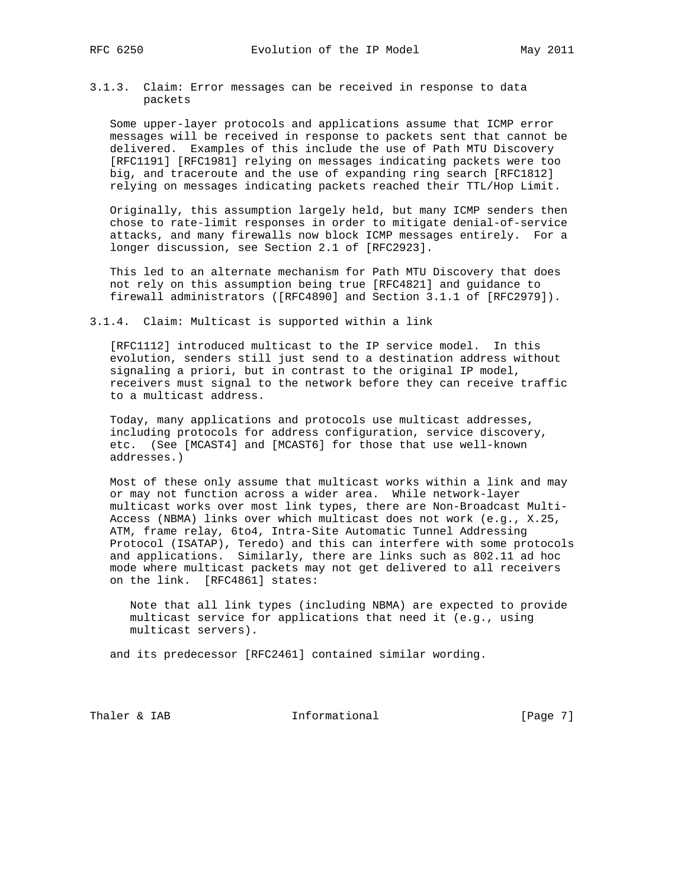3.1.3. Claim: Error messages can be received in response to data packets

 Some upper-layer protocols and applications assume that ICMP error messages will be received in response to packets sent that cannot be delivered. Examples of this include the use of Path MTU Discovery [RFC1191] [RFC1981] relying on messages indicating packets were too big, and traceroute and the use of expanding ring search [RFC1812] relying on messages indicating packets reached their TTL/Hop Limit.

 Originally, this assumption largely held, but many ICMP senders then chose to rate-limit responses in order to mitigate denial-of-service attacks, and many firewalls now block ICMP messages entirely. For a longer discussion, see Section 2.1 of [RFC2923].

 This led to an alternate mechanism for Path MTU Discovery that does not rely on this assumption being true [RFC4821] and guidance to firewall administrators ([RFC4890] and Section 3.1.1 of [RFC2979]).

3.1.4. Claim: Multicast is supported within a link

 [RFC1112] introduced multicast to the IP service model. In this evolution, senders still just send to a destination address without signaling a priori, but in contrast to the original IP model, receivers must signal to the network before they can receive traffic to a multicast address.

 Today, many applications and protocols use multicast addresses, including protocols for address configuration, service discovery, etc. (See [MCAST4] and [MCAST6] for those that use well-known addresses.)

 Most of these only assume that multicast works within a link and may or may not function across a wider area. While network-layer multicast works over most link types, there are Non-Broadcast Multi- Access (NBMA) links over which multicast does not work (e.g., X.25, ATM, frame relay, 6to4, Intra-Site Automatic Tunnel Addressing Protocol (ISATAP), Teredo) and this can interfere with some protocols and applications. Similarly, there are links such as 802.11 ad hoc mode where multicast packets may not get delivered to all receivers on the link. [RFC4861] states:

 Note that all link types (including NBMA) are expected to provide multicast service for applications that need it (e.g., using multicast servers).

and its predecessor [RFC2461] contained similar wording.

Thaler & IAB **Informational** [Page 7]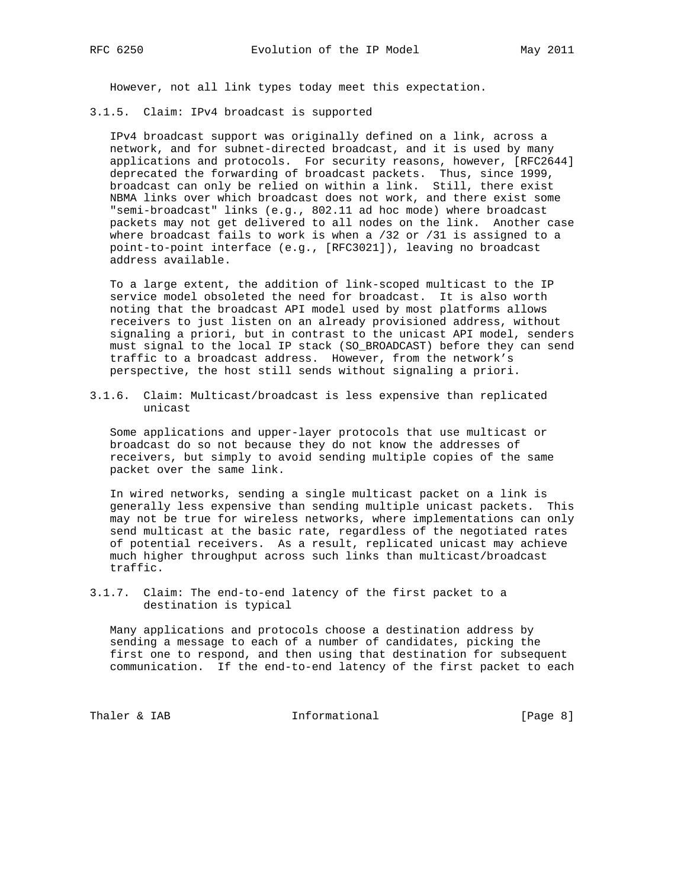However, not all link types today meet this expectation.

3.1.5. Claim: IPv4 broadcast is supported

 IPv4 broadcast support was originally defined on a link, across a network, and for subnet-directed broadcast, and it is used by many applications and protocols. For security reasons, however, [RFC2644] deprecated the forwarding of broadcast packets. Thus, since 1999, broadcast can only be relied on within a link. Still, there exist NBMA links over which broadcast does not work, and there exist some "semi-broadcast" links (e.g., 802.11 ad hoc mode) where broadcast packets may not get delivered to all nodes on the link. Another case where broadcast fails to work is when a /32 or /31 is assigned to a point-to-point interface (e.g., [RFC3021]), leaving no broadcast address available.

 To a large extent, the addition of link-scoped multicast to the IP service model obsoleted the need for broadcast. It is also worth noting that the broadcast API model used by most platforms allows receivers to just listen on an already provisioned address, without signaling a priori, but in contrast to the unicast API model, senders must signal to the local IP stack (SO\_BROADCAST) before they can send traffic to a broadcast address. However, from the network's perspective, the host still sends without signaling a priori.

3.1.6. Claim: Multicast/broadcast is less expensive than replicated unicast

 Some applications and upper-layer protocols that use multicast or broadcast do so not because they do not know the addresses of receivers, but simply to avoid sending multiple copies of the same packet over the same link.

 In wired networks, sending a single multicast packet on a link is generally less expensive than sending multiple unicast packets. This may not be true for wireless networks, where implementations can only send multicast at the basic rate, regardless of the negotiated rates of potential receivers. As a result, replicated unicast may achieve much higher throughput across such links than multicast/broadcast traffic.

3.1.7. Claim: The end-to-end latency of the first packet to a destination is typical

 Many applications and protocols choose a destination address by sending a message to each of a number of candidates, picking the first one to respond, and then using that destination for subsequent communication. If the end-to-end latency of the first packet to each

Thaler & IAB **Informational** [Page 8]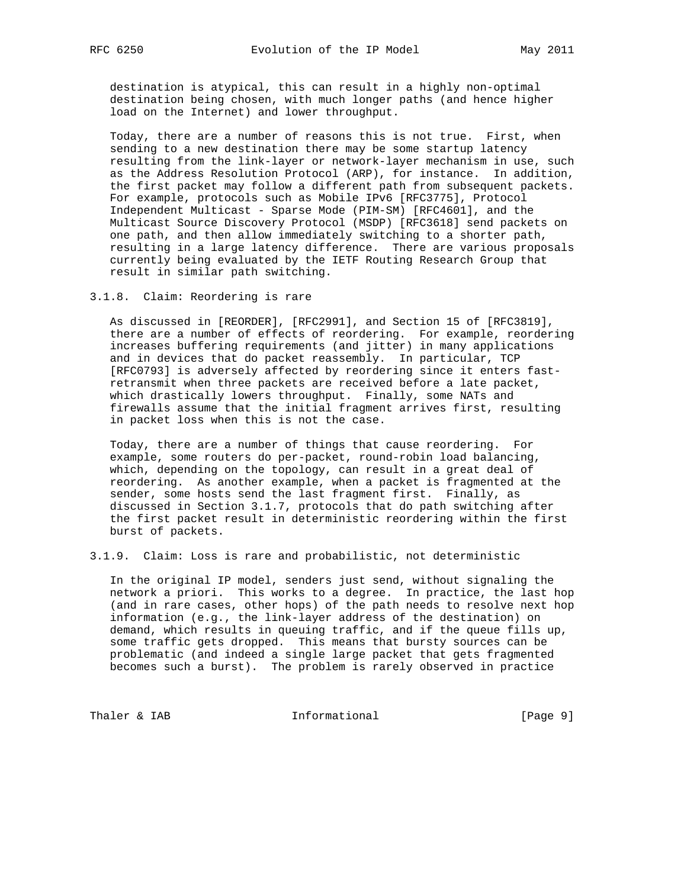destination is atypical, this can result in a highly non-optimal destination being chosen, with much longer paths (and hence higher load on the Internet) and lower throughput.

 Today, there are a number of reasons this is not true. First, when sending to a new destination there may be some startup latency resulting from the link-layer or network-layer mechanism in use, such as the Address Resolution Protocol (ARP), for instance. In addition, the first packet may follow a different path from subsequent packets. For example, protocols such as Mobile IPv6 [RFC3775], Protocol Independent Multicast - Sparse Mode (PIM-SM) [RFC4601], and the Multicast Source Discovery Protocol (MSDP) [RFC3618] send packets on one path, and then allow immediately switching to a shorter path, resulting in a large latency difference. There are various proposals currently being evaluated by the IETF Routing Research Group that result in similar path switching.

3.1.8. Claim: Reordering is rare

 As discussed in [REORDER], [RFC2991], and Section 15 of [RFC3819], there are a number of effects of reordering. For example, reordering increases buffering requirements (and jitter) in many applications and in devices that do packet reassembly. In particular, TCP [RFC0793] is adversely affected by reordering since it enters fast retransmit when three packets are received before a late packet, which drastically lowers throughput. Finally, some NATs and firewalls assume that the initial fragment arrives first, resulting in packet loss when this is not the case.

 Today, there are a number of things that cause reordering. For example, some routers do per-packet, round-robin load balancing, which, depending on the topology, can result in a great deal of reordering. As another example, when a packet is fragmented at the sender, some hosts send the last fragment first. Finally, as discussed in Section 3.1.7, protocols that do path switching after the first packet result in deterministic reordering within the first burst of packets.

3.1.9. Claim: Loss is rare and probabilistic, not deterministic

 In the original IP model, senders just send, without signaling the network a priori. This works to a degree. In practice, the last hop (and in rare cases, other hops) of the path needs to resolve next hop information (e.g., the link-layer address of the destination) on demand, which results in queuing traffic, and if the queue fills up, some traffic gets dropped. This means that bursty sources can be problematic (and indeed a single large packet that gets fragmented becomes such a burst). The problem is rarely observed in practice

Thaler & IAB **Informational** [Page 9]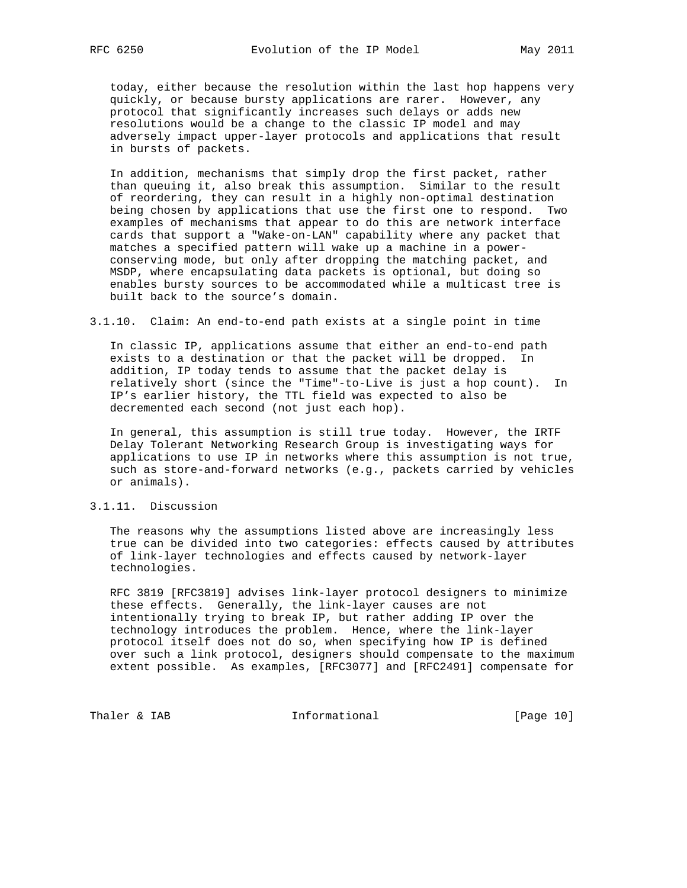today, either because the resolution within the last hop happens very quickly, or because bursty applications are rarer. However, any protocol that significantly increases such delays or adds new resolutions would be a change to the classic IP model and may adversely impact upper-layer protocols and applications that result in bursts of packets.

 In addition, mechanisms that simply drop the first packet, rather than queuing it, also break this assumption. Similar to the result of reordering, they can result in a highly non-optimal destination being chosen by applications that use the first one to respond. Two examples of mechanisms that appear to do this are network interface cards that support a "Wake-on-LAN" capability where any packet that matches a specified pattern will wake up a machine in a power conserving mode, but only after dropping the matching packet, and MSDP, where encapsulating data packets is optional, but doing so enables bursty sources to be accommodated while a multicast tree is built back to the source's domain.

3.1.10. Claim: An end-to-end path exists at a single point in time

 In classic IP, applications assume that either an end-to-end path exists to a destination or that the packet will be dropped. In addition, IP today tends to assume that the packet delay is relatively short (since the "Time"-to-Live is just a hop count). In IP's earlier history, the TTL field was expected to also be decremented each second (not just each hop).

 In general, this assumption is still true today. However, the IRTF Delay Tolerant Networking Research Group is investigating ways for applications to use IP in networks where this assumption is not true, such as store-and-forward networks (e.g., packets carried by vehicles or animals).

# 3.1.11. Discussion

 The reasons why the assumptions listed above are increasingly less true can be divided into two categories: effects caused by attributes of link-layer technologies and effects caused by network-layer technologies.

 RFC 3819 [RFC3819] advises link-layer protocol designers to minimize these effects. Generally, the link-layer causes are not intentionally trying to break IP, but rather adding IP over the technology introduces the problem. Hence, where the link-layer protocol itself does not do so, when specifying how IP is defined over such a link protocol, designers should compensate to the maximum extent possible. As examples, [RFC3077] and [RFC2491] compensate for

Thaler & IAB **Informational** [Page 10]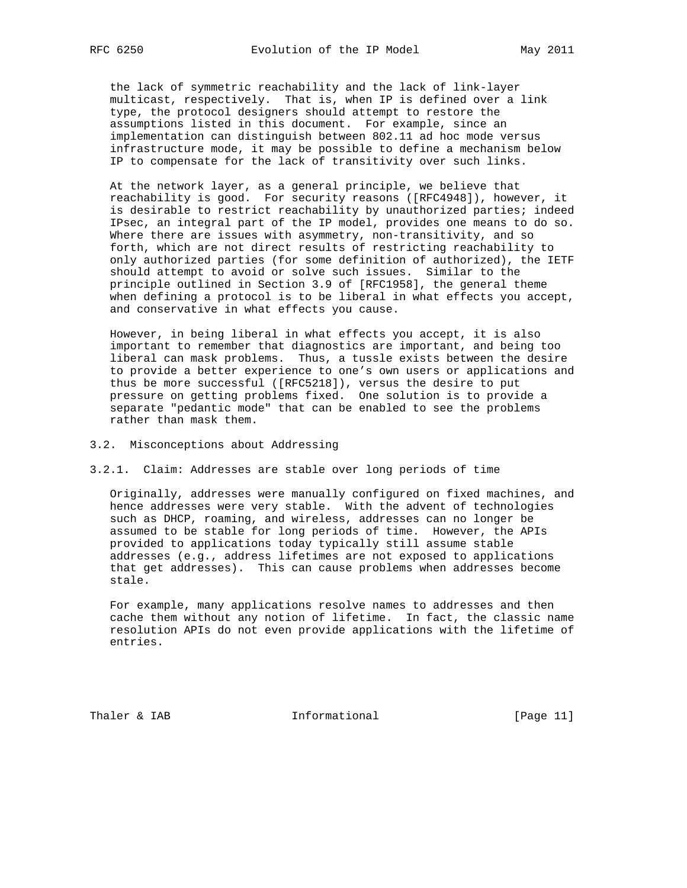the lack of symmetric reachability and the lack of link-layer multicast, respectively. That is, when IP is defined over a link type, the protocol designers should attempt to restore the assumptions listed in this document. For example, since an implementation can distinguish between 802.11 ad hoc mode versus infrastructure mode, it may be possible to define a mechanism below IP to compensate for the lack of transitivity over such links.

 At the network layer, as a general principle, we believe that reachability is good. For security reasons ([RFC4948]), however, it is desirable to restrict reachability by unauthorized parties; indeed IPsec, an integral part of the IP model, provides one means to do so. Where there are issues with asymmetry, non-transitivity, and so forth, which are not direct results of restricting reachability to only authorized parties (for some definition of authorized), the IETF should attempt to avoid or solve such issues. Similar to the principle outlined in Section 3.9 of [RFC1958], the general theme when defining a protocol is to be liberal in what effects you accept, and conservative in what effects you cause.

 However, in being liberal in what effects you accept, it is also important to remember that diagnostics are important, and being too liberal can mask problems. Thus, a tussle exists between the desire to provide a better experience to one's own users or applications and thus be more successful ([RFC5218]), versus the desire to put pressure on getting problems fixed. One solution is to provide a separate "pedantic mode" that can be enabled to see the problems rather than mask them.

### 3.2. Misconceptions about Addressing

3.2.1. Claim: Addresses are stable over long periods of time

 Originally, addresses were manually configured on fixed machines, and hence addresses were very stable. With the advent of technologies such as DHCP, roaming, and wireless, addresses can no longer be assumed to be stable for long periods of time. However, the APIs provided to applications today typically still assume stable addresses (e.g., address lifetimes are not exposed to applications that get addresses). This can cause problems when addresses become stale.

 For example, many applications resolve names to addresses and then cache them without any notion of lifetime. In fact, the classic name resolution APIs do not even provide applications with the lifetime of entries.

Thaler & IAB **Informational** [Page 11]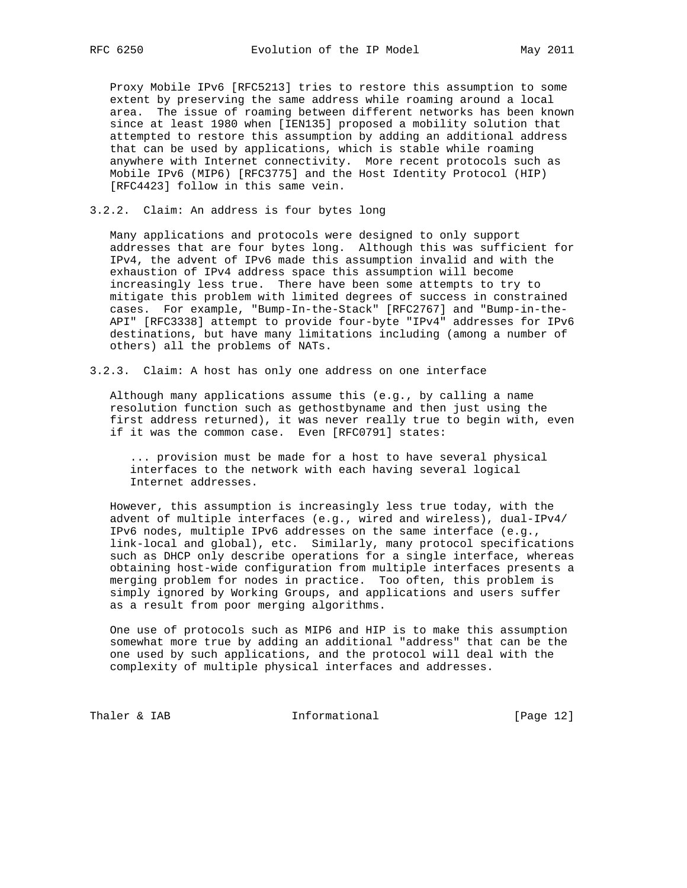Proxy Mobile IPv6 [RFC5213] tries to restore this assumption to some extent by preserving the same address while roaming around a local area. The issue of roaming between different networks has been known since at least 1980 when [IEN135] proposed a mobility solution that attempted to restore this assumption by adding an additional address that can be used by applications, which is stable while roaming anywhere with Internet connectivity. More recent protocols such as Mobile IPv6 (MIP6) [RFC3775] and the Host Identity Protocol (HIP) [RFC4423] follow in this same vein.

#### 3.2.2. Claim: An address is four bytes long

 Many applications and protocols were designed to only support addresses that are four bytes long. Although this was sufficient for IPv4, the advent of IPv6 made this assumption invalid and with the exhaustion of IPv4 address space this assumption will become increasingly less true. There have been some attempts to try to mitigate this problem with limited degrees of success in constrained cases. For example, "Bump-In-the-Stack" [RFC2767] and "Bump-in-the- API" [RFC3338] attempt to provide four-byte "IPv4" addresses for IPv6 destinations, but have many limitations including (among a number of others) all the problems of NATs.

#### 3.2.3. Claim: A host has only one address on one interface

 Although many applications assume this (e.g., by calling a name resolution function such as gethostbyname and then just using the first address returned), it was never really true to begin with, even if it was the common case. Even [RFC0791] states:

 ... provision must be made for a host to have several physical interfaces to the network with each having several logical Internet addresses.

 However, this assumption is increasingly less true today, with the advent of multiple interfaces (e.g., wired and wireless), dual-IPv4/ IPv6 nodes, multiple IPv6 addresses on the same interface (e.g., link-local and global), etc. Similarly, many protocol specifications such as DHCP only describe operations for a single interface, whereas obtaining host-wide configuration from multiple interfaces presents a merging problem for nodes in practice. Too often, this problem is simply ignored by Working Groups, and applications and users suffer as a result from poor merging algorithms.

 One use of protocols such as MIP6 and HIP is to make this assumption somewhat more true by adding an additional "address" that can be the one used by such applications, and the protocol will deal with the complexity of multiple physical interfaces and addresses.

Thaler & IAB **Informational** [Page 12]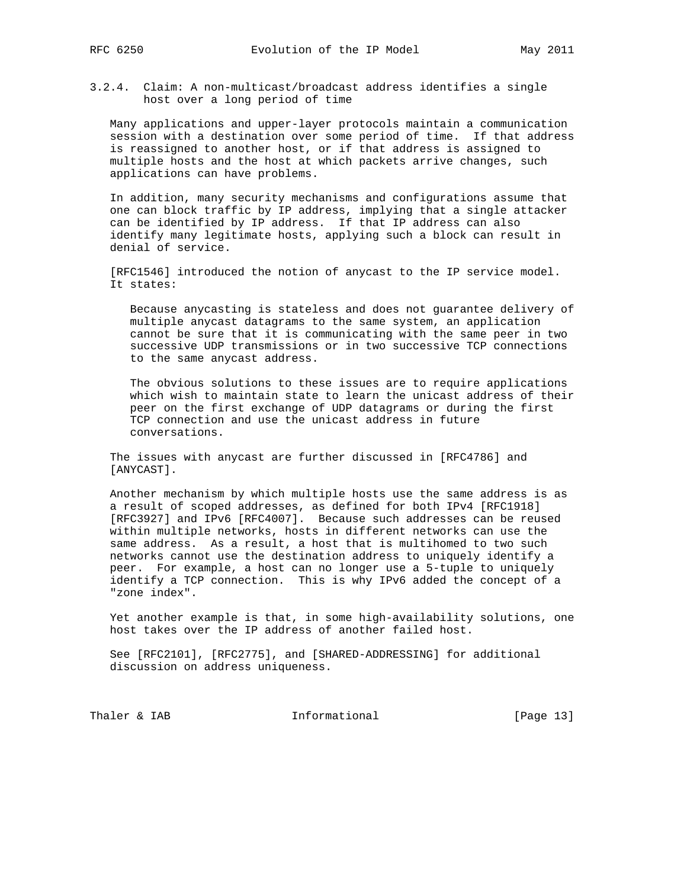3.2.4. Claim: A non-multicast/broadcast address identifies a single host over a long period of time

 Many applications and upper-layer protocols maintain a communication session with a destination over some period of time. If that address is reassigned to another host, or if that address is assigned to multiple hosts and the host at which packets arrive changes, such applications can have problems.

 In addition, many security mechanisms and configurations assume that one can block traffic by IP address, implying that a single attacker can be identified by IP address. If that IP address can also identify many legitimate hosts, applying such a block can result in denial of service.

 [RFC1546] introduced the notion of anycast to the IP service model. It states:

 Because anycasting is stateless and does not guarantee delivery of multiple anycast datagrams to the same system, an application cannot be sure that it is communicating with the same peer in two successive UDP transmissions or in two successive TCP connections to the same anycast address.

 The obvious solutions to these issues are to require applications which wish to maintain state to learn the unicast address of their peer on the first exchange of UDP datagrams or during the first TCP connection and use the unicast address in future conversations.

 The issues with anycast are further discussed in [RFC4786] and [ANYCAST].

 Another mechanism by which multiple hosts use the same address is as a result of scoped addresses, as defined for both IPv4 [RFC1918] [RFC3927] and IPv6 [RFC4007]. Because such addresses can be reused within multiple networks, hosts in different networks can use the same address. As a result, a host that is multihomed to two such networks cannot use the destination address to uniquely identify a peer. For example, a host can no longer use a 5-tuple to uniquely identify a TCP connection. This is why IPv6 added the concept of a "zone index".

 Yet another example is that, in some high-availability solutions, one host takes over the IP address of another failed host.

 See [RFC2101], [RFC2775], and [SHARED-ADDRESSING] for additional discussion on address uniqueness.

Thaler & IAB **Informational** [Page 13]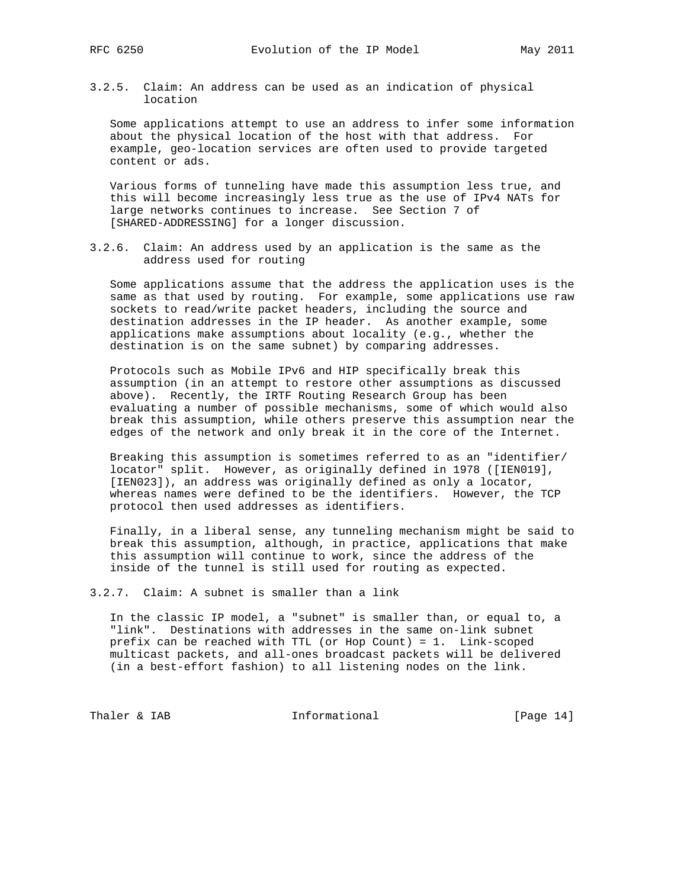3.2.5. Claim: An address can be used as an indication of physical location

 Some applications attempt to use an address to infer some information about the physical location of the host with that address. For example, geo-location services are often used to provide targeted content or ads.

 Various forms of tunneling have made this assumption less true, and this will become increasingly less true as the use of IPv4 NATs for large networks continues to increase. See Section 7 of [SHARED-ADDRESSING] for a longer discussion.

3.2.6. Claim: An address used by an application is the same as the address used for routing

 Some applications assume that the address the application uses is the same as that used by routing. For example, some applications use raw sockets to read/write packet headers, including the source and destination addresses in the IP header. As another example, some applications make assumptions about locality (e.g., whether the destination is on the same subnet) by comparing addresses.

 Protocols such as Mobile IPv6 and HIP specifically break this assumption (in an attempt to restore other assumptions as discussed above). Recently, the IRTF Routing Research Group has been evaluating a number of possible mechanisms, some of which would also break this assumption, while others preserve this assumption near the edges of the network and only break it in the core of the Internet.

 Breaking this assumption is sometimes referred to as an "identifier/ locator" split. However, as originally defined in 1978 ([IEN019], [IEN023]), an address was originally defined as only a locator, whereas names were defined to be the identifiers. However, the TCP protocol then used addresses as identifiers.

 Finally, in a liberal sense, any tunneling mechanism might be said to break this assumption, although, in practice, applications that make this assumption will continue to work, since the address of the inside of the tunnel is still used for routing as expected.

3.2.7. Claim: A subnet is smaller than a link

 In the classic IP model, a "subnet" is smaller than, or equal to, a "link". Destinations with addresses in the same on-link subnet prefix can be reached with TTL (or Hop Count) = 1. Link-scoped multicast packets, and all-ones broadcast packets will be delivered (in a best-effort fashion) to all listening nodes on the link.

Thaler & IAB **Informational** [Page 14]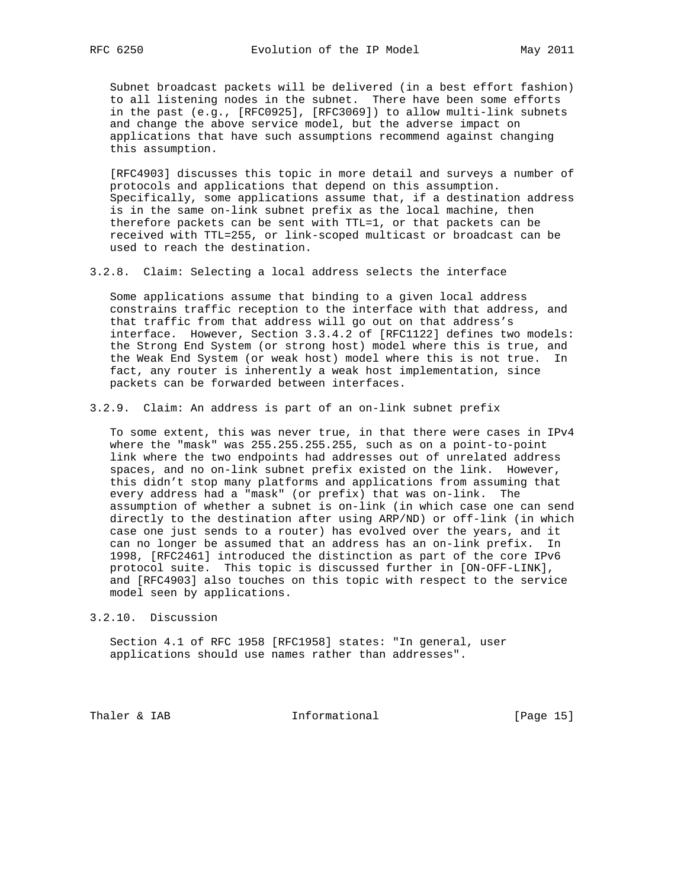Subnet broadcast packets will be delivered (in a best effort fashion) to all listening nodes in the subnet. There have been some efforts in the past (e.g., [RFC0925], [RFC3069]) to allow multi-link subnets and change the above service model, but the adverse impact on applications that have such assumptions recommend against changing this assumption.

 [RFC4903] discusses this topic in more detail and surveys a number of protocols and applications that depend on this assumption. Specifically, some applications assume that, if a destination address is in the same on-link subnet prefix as the local machine, then therefore packets can be sent with TTL=1, or that packets can be received with TTL=255, or link-scoped multicast or broadcast can be used to reach the destination.

3.2.8. Claim: Selecting a local address selects the interface

 Some applications assume that binding to a given local address constrains traffic reception to the interface with that address, and that traffic from that address will go out on that address's interface. However, Section 3.3.4.2 of [RFC1122] defines two models: the Strong End System (or strong host) model where this is true, and the Weak End System (or weak host) model where this is not true. In fact, any router is inherently a weak host implementation, since packets can be forwarded between interfaces.

3.2.9. Claim: An address is part of an on-link subnet prefix

 To some extent, this was never true, in that there were cases in IPv4 where the "mask" was 255.255.255.255, such as on a point-to-point link where the two endpoints had addresses out of unrelated address spaces, and no on-link subnet prefix existed on the link. However, this didn't stop many platforms and applications from assuming that every address had a "mask" (or prefix) that was on-link. The assumption of whether a subnet is on-link (in which case one can send directly to the destination after using ARP/ND) or off-link (in which case one just sends to a router) has evolved over the years, and it can no longer be assumed that an address has an on-link prefix. In 1998, [RFC2461] introduced the distinction as part of the core IPv6 protocol suite. This topic is discussed further in [ON-OFF-LINK], and [RFC4903] also touches on this topic with respect to the service model seen by applications.

3.2.10. Discussion

 Section 4.1 of RFC 1958 [RFC1958] states: "In general, user applications should use names rather than addresses".

Thaler & IAB **Informational** [Page 15]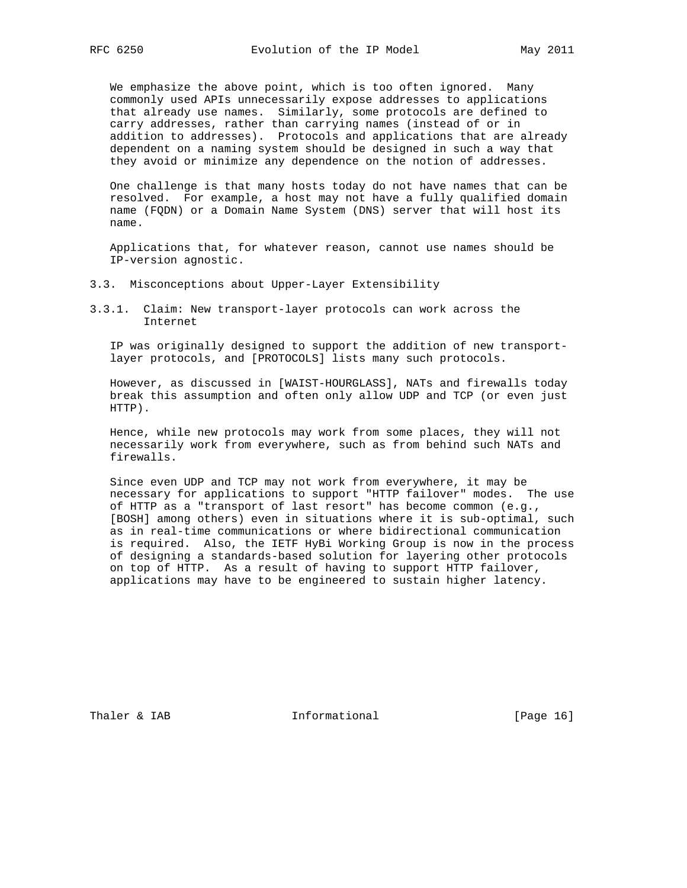We emphasize the above point, which is too often ignored. Many commonly used APIs unnecessarily expose addresses to applications that already use names. Similarly, some protocols are defined to carry addresses, rather than carrying names (instead of or in addition to addresses). Protocols and applications that are already dependent on a naming system should be designed in such a way that they avoid or minimize any dependence on the notion of addresses.

 One challenge is that many hosts today do not have names that can be resolved. For example, a host may not have a fully qualified domain name (FQDN) or a Domain Name System (DNS) server that will host its name.

 Applications that, for whatever reason, cannot use names should be IP-version agnostic.

- 3.3. Misconceptions about Upper-Layer Extensibility
- 3.3.1. Claim: New transport-layer protocols can work across the Internet

 IP was originally designed to support the addition of new transport layer protocols, and [PROTOCOLS] lists many such protocols.

 However, as discussed in [WAIST-HOURGLASS], NATs and firewalls today break this assumption and often only allow UDP and TCP (or even just HTTP).

 Hence, while new protocols may work from some places, they will not necessarily work from everywhere, such as from behind such NATs and firewalls.

 Since even UDP and TCP may not work from everywhere, it may be necessary for applications to support "HTTP failover" modes. The use of HTTP as a "transport of last resort" has become common (e.g., [BOSH] among others) even in situations where it is sub-optimal, such as in real-time communications or where bidirectional communication is required. Also, the IETF HyBi Working Group is now in the process of designing a standards-based solution for layering other protocols on top of HTTP. As a result of having to support HTTP failover, applications may have to be engineered to sustain higher latency.

Thaler & IAB **Informational** [Page 16]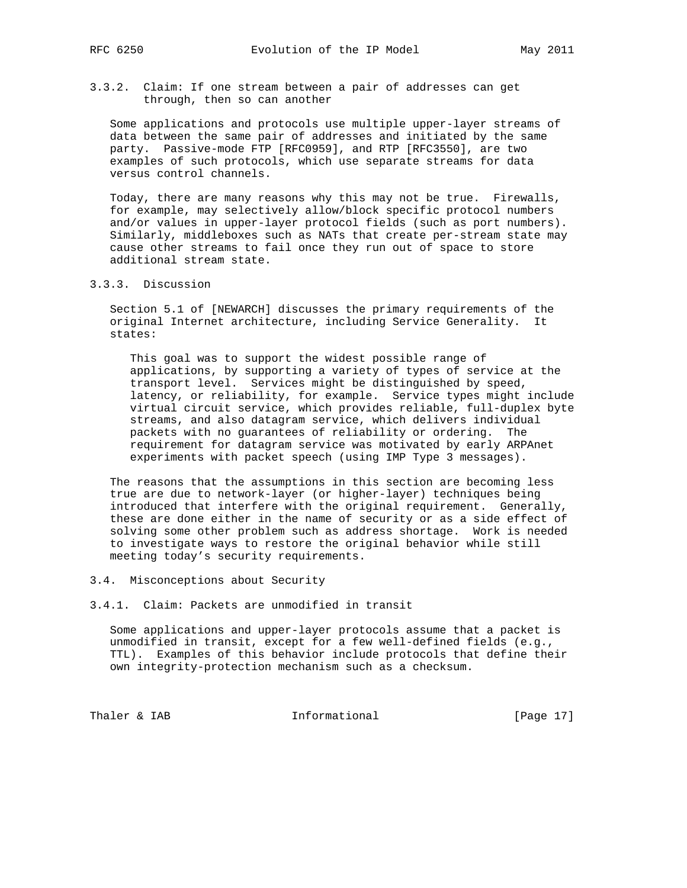- 
- 3.3.2. Claim: If one stream between a pair of addresses can get through, then so can another

 Some applications and protocols use multiple upper-layer streams of data between the same pair of addresses and initiated by the same party. Passive-mode FTP [RFC0959], and RTP [RFC3550], are two examples of such protocols, which use separate streams for data versus control channels.

 Today, there are many reasons why this may not be true. Firewalls, for example, may selectively allow/block specific protocol numbers and/or values in upper-layer protocol fields (such as port numbers). Similarly, middleboxes such as NATs that create per-stream state may cause other streams to fail once they run out of space to store additional stream state.

3.3.3. Discussion

 Section 5.1 of [NEWARCH] discusses the primary requirements of the original Internet architecture, including Service Generality. It states:

 This goal was to support the widest possible range of applications, by supporting a variety of types of service at the transport level. Services might be distinguished by speed, latency, or reliability, for example. Service types might include virtual circuit service, which provides reliable, full-duplex byte streams, and also datagram service, which delivers individual packets with no guarantees of reliability or ordering. The requirement for datagram service was motivated by early ARPAnet experiments with packet speech (using IMP Type 3 messages).

 The reasons that the assumptions in this section are becoming less true are due to network-layer (or higher-layer) techniques being introduced that interfere with the original requirement. Generally, these are done either in the name of security or as a side effect of solving some other problem such as address shortage. Work is needed to investigate ways to restore the original behavior while still meeting today's security requirements.

- 3.4. Misconceptions about Security
- 3.4.1. Claim: Packets are unmodified in transit

 Some applications and upper-layer protocols assume that a packet is unmodified in transit, except for a few well-defined fields (e.g., TTL). Examples of this behavior include protocols that define their own integrity-protection mechanism such as a checksum.

Thaler & IAB **Informational** [Page 17]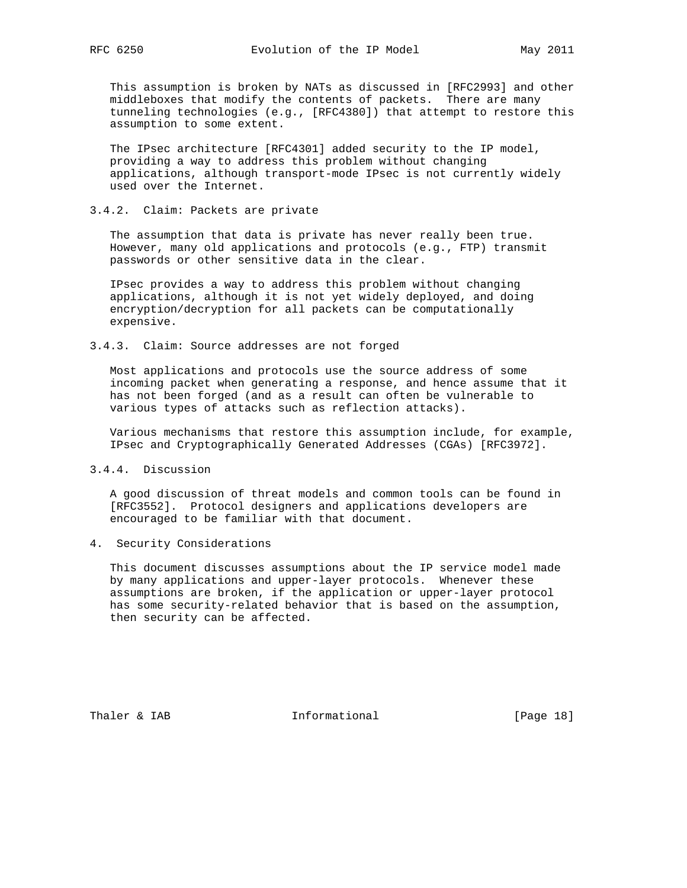This assumption is broken by NATs as discussed in [RFC2993] and other middleboxes that modify the contents of packets. There are many tunneling technologies (e.g., [RFC4380]) that attempt to restore this assumption to some extent.

 The IPsec architecture [RFC4301] added security to the IP model, providing a way to address this problem without changing applications, although transport-mode IPsec is not currently widely used over the Internet.

## 3.4.2. Claim: Packets are private

 The assumption that data is private has never really been true. However, many old applications and protocols (e.g., FTP) transmit passwords or other sensitive data in the clear.

 IPsec provides a way to address this problem without changing applications, although it is not yet widely deployed, and doing encryption/decryption for all packets can be computationally expensive.

# 3.4.3. Claim: Source addresses are not forged

 Most applications and protocols use the source address of some incoming packet when generating a response, and hence assume that it has not been forged (and as a result can often be vulnerable to various types of attacks such as reflection attacks).

 Various mechanisms that restore this assumption include, for example, IPsec and Cryptographically Generated Addresses (CGAs) [RFC3972].

# 3.4.4. Discussion

 A good discussion of threat models and common tools can be found in [RFC3552]. Protocol designers and applications developers are encouraged to be familiar with that document.

4. Security Considerations

 This document discusses assumptions about the IP service model made by many applications and upper-layer protocols. Whenever these assumptions are broken, if the application or upper-layer protocol has some security-related behavior that is based on the assumption, then security can be affected.

Thaler & IAB **Informational** [Page 18]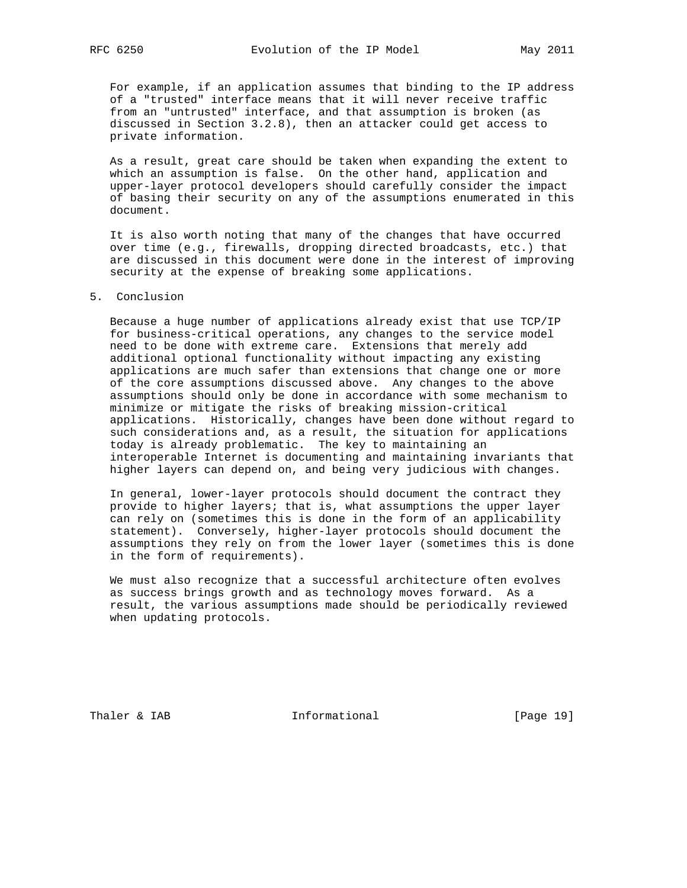For example, if an application assumes that binding to the IP address of a "trusted" interface means that it will never receive traffic from an "untrusted" interface, and that assumption is broken (as discussed in Section 3.2.8), then an attacker could get access to private information.

 As a result, great care should be taken when expanding the extent to which an assumption is false. On the other hand, application and upper-layer protocol developers should carefully consider the impact of basing their security on any of the assumptions enumerated in this document.

 It is also worth noting that many of the changes that have occurred over time (e.g., firewalls, dropping directed broadcasts, etc.) that are discussed in this document were done in the interest of improving security at the expense of breaking some applications.

#### 5. Conclusion

 Because a huge number of applications already exist that use TCP/IP for business-critical operations, any changes to the service model need to be done with extreme care. Extensions that merely add additional optional functionality without impacting any existing applications are much safer than extensions that change one or more of the core assumptions discussed above. Any changes to the above assumptions should only be done in accordance with some mechanism to minimize or mitigate the risks of breaking mission-critical applications. Historically, changes have been done without regard to such considerations and, as a result, the situation for applications today is already problematic. The key to maintaining an interoperable Internet is documenting and maintaining invariants that higher layers can depend on, and being very judicious with changes.

 In general, lower-layer protocols should document the contract they provide to higher layers; that is, what assumptions the upper layer can rely on (sometimes this is done in the form of an applicability statement). Conversely, higher-layer protocols should document the assumptions they rely on from the lower layer (sometimes this is done in the form of requirements).

 We must also recognize that a successful architecture often evolves as success brings growth and as technology moves forward. As a result, the various assumptions made should be periodically reviewed when updating protocols.

Thaler & IAB **Informational** [Page 19]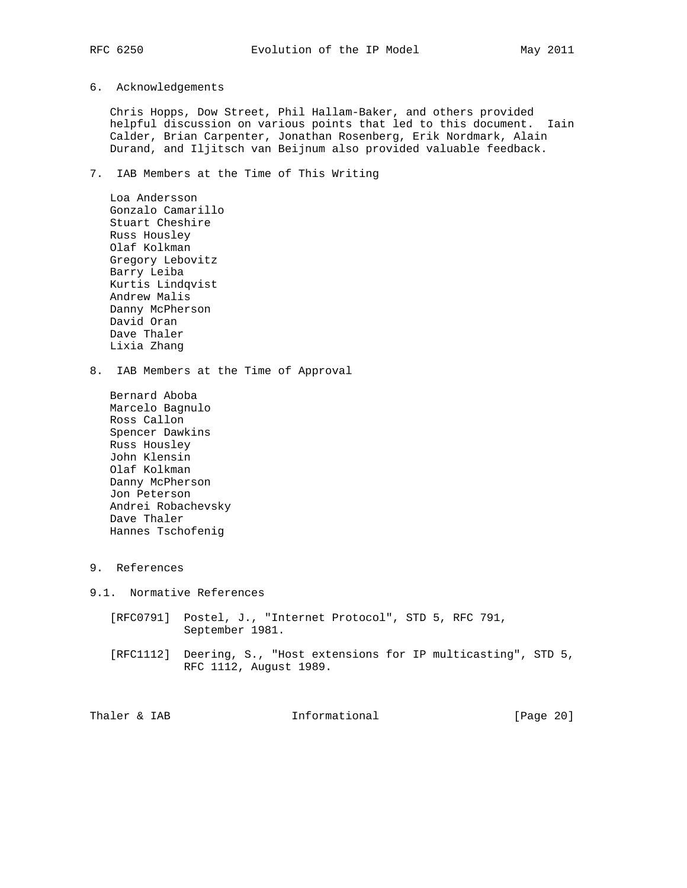6. Acknowledgements

 Chris Hopps, Dow Street, Phil Hallam-Baker, and others provided helpful discussion on various points that led to this document. Iain Calder, Brian Carpenter, Jonathan Rosenberg, Erik Nordmark, Alain Durand, and Iljitsch van Beijnum also provided valuable feedback.

7. IAB Members at the Time of This Writing

 Loa Andersson Gonzalo Camarillo Stuart Cheshire Russ Housley Olaf Kolkman Gregory Lebovitz Barry Leiba Kurtis Lindqvist Andrew Malis Danny McPherson David Oran Dave Thaler Lixia Zhang

8. IAB Members at the Time of Approval

 Bernard Aboba Marcelo Bagnulo Ross Callon Spencer Dawkins Russ Housley John Klensin Olaf Kolkman Danny McPherson Jon Peterson Andrei Robachevsky Dave Thaler Hannes Tschofenig

9. References

9.1. Normative References

 [RFC0791] Postel, J., "Internet Protocol", STD 5, RFC 791, September 1981.

 [RFC1112] Deering, S., "Host extensions for IP multicasting", STD 5, RFC 1112, August 1989.

| [Page $20$ ]<br>Informational<br>Thaler & IAB |
|-----------------------------------------------|
|-----------------------------------------------|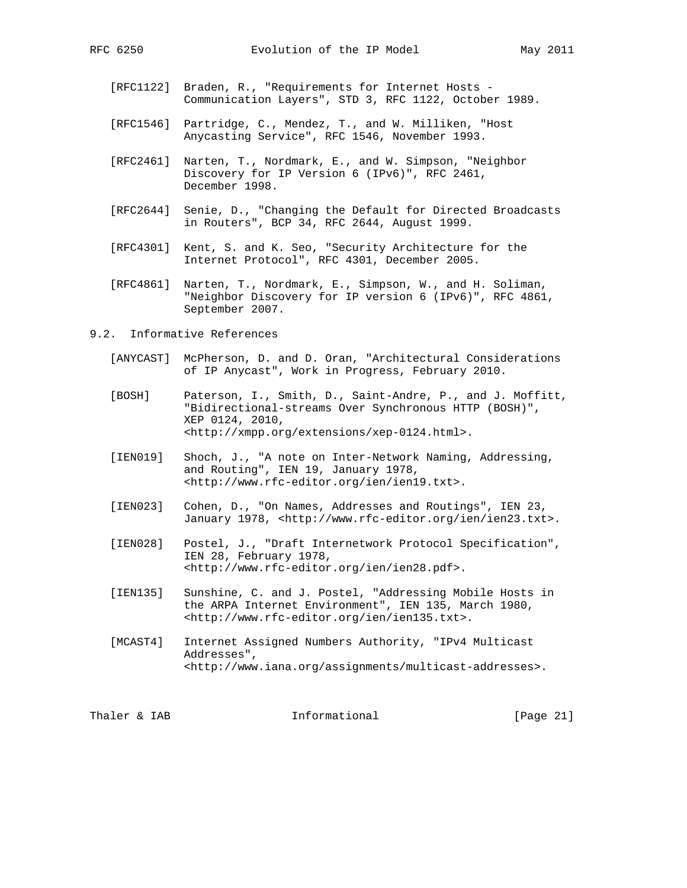- - [RFC1122] Braden, R., "Requirements for Internet Hosts Communication Layers", STD 3, RFC 1122, October 1989.
	- [RFC1546] Partridge, C., Mendez, T., and W. Milliken, "Host Anycasting Service", RFC 1546, November 1993.
	- [RFC2461] Narten, T., Nordmark, E., and W. Simpson, "Neighbor Discovery for IP Version 6 (IPv6)", RFC 2461, December 1998.
	- [RFC2644] Senie, D., "Changing the Default for Directed Broadcasts in Routers", BCP 34, RFC 2644, August 1999.
	- [RFC4301] Kent, S. and K. Seo, "Security Architecture for the Internet Protocol", RFC 4301, December 2005.
	- [RFC4861] Narten, T., Nordmark, E., Simpson, W., and H. Soliman, "Neighbor Discovery for IP version 6 (IPv6)", RFC 4861, September 2007.
- 9.2. Informative References
	- [ANYCAST] McPherson, D. and D. Oran, "Architectural Considerations of IP Anycast", Work in Progress, February 2010.
	- [BOSH] Paterson, I., Smith, D., Saint-Andre, P., and J. Moffitt, "Bidirectional-streams Over Synchronous HTTP (BOSH)", XEP 0124, 2010, <http://xmpp.org/extensions/xep-0124.html>.
	- [IEN019] Shoch, J., "A note on Inter-Network Naming, Addressing, and Routing", IEN 19, January 1978, <http://www.rfc-editor.org/ien/ien19.txt>.
	- [IEN023] Cohen, D., "On Names, Addresses and Routings", IEN 23, January 1978, <http://www.rfc-editor.org/ien/ien23.txt>.
	- [IEN028] Postel, J., "Draft Internetwork Protocol Specification", IEN 28, February 1978, <http://www.rfc-editor.org/ien/ien28.pdf>.
	- [IEN135] Sunshine, C. and J. Postel, "Addressing Mobile Hosts in the ARPA Internet Environment", IEN 135, March 1980, <http://www.rfc-editor.org/ien/ien135.txt>.
	- [MCAST4] Internet Assigned Numbers Authority, "IPv4 Multicast Addresses", <http://www.iana.org/assignments/multicast-addresses>.

Thaler & IAB  $\qquad \qquad$  Informational [Page 21]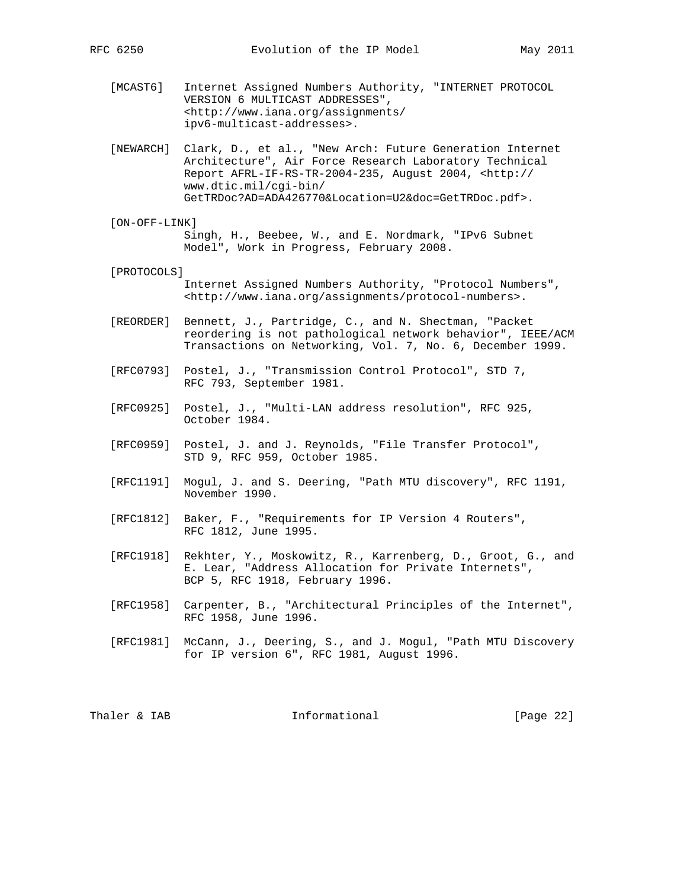- [MCAST6] Internet Assigned Numbers Authority, "INTERNET PROTOCOL VERSION 6 MULTICAST ADDRESSES", <http://www.iana.org/assignments/ ipv6-multicast-addresses>.
- [NEWARCH] Clark, D., et al., "New Arch: Future Generation Internet Architecture", Air Force Research Laboratory Technical Report AFRL-IF-RS-TR-2004-235, August 2004, <http:// www.dtic.mil/cgi-bin/ GetTRDoc?AD=ADA426770&Location=U2&doc=GetTRDoc.pdf>.
- [ON-OFF-LINK] Singh, H., Beebee, W., and E. Nordmark, "IPv6 Subnet Model", Work in Progress, February 2008.
- [PROTOCOLS] Internet Assigned Numbers Authority, "Protocol Numbers", <http://www.iana.org/assignments/protocol-numbers>.
- [REORDER] Bennett, J., Partridge, C., and N. Shectman, "Packet reordering is not pathological network behavior", IEEE/ACM Transactions on Networking, Vol. 7, No. 6, December 1999.
- [RFC0793] Postel, J., "Transmission Control Protocol", STD 7, RFC 793, September 1981.
- [RFC0925] Postel, J., "Multi-LAN address resolution", RFC 925, October 1984.
- [RFC0959] Postel, J. and J. Reynolds, "File Transfer Protocol", STD 9, RFC 959, October 1985.
- [RFC1191] Mogul, J. and S. Deering, "Path MTU discovery", RFC 1191, November 1990.
- [RFC1812] Baker, F., "Requirements for IP Version 4 Routers", RFC 1812, June 1995.
- [RFC1918] Rekhter, Y., Moskowitz, R., Karrenberg, D., Groot, G., and E. Lear, "Address Allocation for Private Internets", BCP 5, RFC 1918, February 1996.
- [RFC1958] Carpenter, B., "Architectural Principles of the Internet", RFC 1958, June 1996.
- [RFC1981] McCann, J., Deering, S., and J. Mogul, "Path MTU Discovery for IP version 6", RFC 1981, August 1996.

Thaler & IAB **Informational** [Page 22]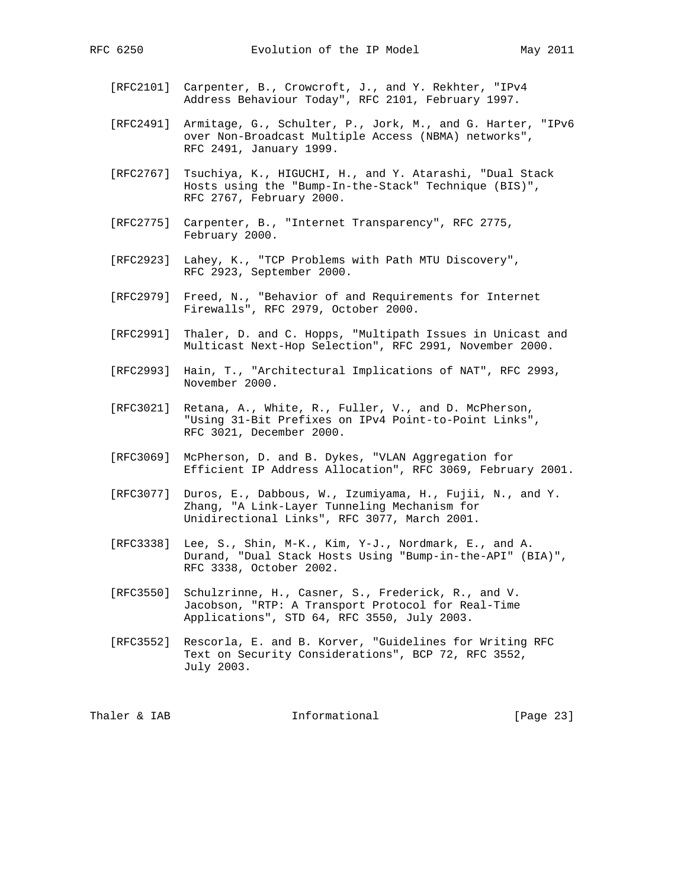- [RFC2101] Carpenter, B., Crowcroft, J., and Y. Rekhter, "IPv4 Address Behaviour Today", RFC 2101, February 1997.
- [RFC2491] Armitage, G., Schulter, P., Jork, M., and G. Harter, "IPv6 over Non-Broadcast Multiple Access (NBMA) networks", RFC 2491, January 1999.
- [RFC2767] Tsuchiya, K., HIGUCHI, H., and Y. Atarashi, "Dual Stack Hosts using the "Bump-In-the-Stack" Technique (BIS)", RFC 2767, February 2000.
- [RFC2775] Carpenter, B., "Internet Transparency", RFC 2775, February 2000.
- [RFC2923] Lahey, K., "TCP Problems with Path MTU Discovery", RFC 2923, September 2000.
- [RFC2979] Freed, N., "Behavior of and Requirements for Internet Firewalls", RFC 2979, October 2000.
- [RFC2991] Thaler, D. and C. Hopps, "Multipath Issues in Unicast and Multicast Next-Hop Selection", RFC 2991, November 2000.
- [RFC2993] Hain, T., "Architectural Implications of NAT", RFC 2993, November 2000.
- [RFC3021] Retana, A., White, R., Fuller, V., and D. McPherson, "Using 31-Bit Prefixes on IPv4 Point-to-Point Links", RFC 3021, December 2000.
- [RFC3069] McPherson, D. and B. Dykes, "VLAN Aggregation for Efficient IP Address Allocation", RFC 3069, February 2001.
- [RFC3077] Duros, E., Dabbous, W., Izumiyama, H., Fujii, N., and Y. Zhang, "A Link-Layer Tunneling Mechanism for Unidirectional Links", RFC 3077, March 2001.
- [RFC3338] Lee, S., Shin, M-K., Kim, Y-J., Nordmark, E., and A. Durand, "Dual Stack Hosts Using "Bump-in-the-API" (BIA)", RFC 3338, October 2002.
- [RFC3550] Schulzrinne, H., Casner, S., Frederick, R., and V. Jacobson, "RTP: A Transport Protocol for Real-Time Applications", STD 64, RFC 3550, July 2003.
- [RFC3552] Rescorla, E. and B. Korver, "Guidelines for Writing RFC Text on Security Considerations", BCP 72, RFC 3552, July 2003.

Thaler & IAB **Informational** [Page 23]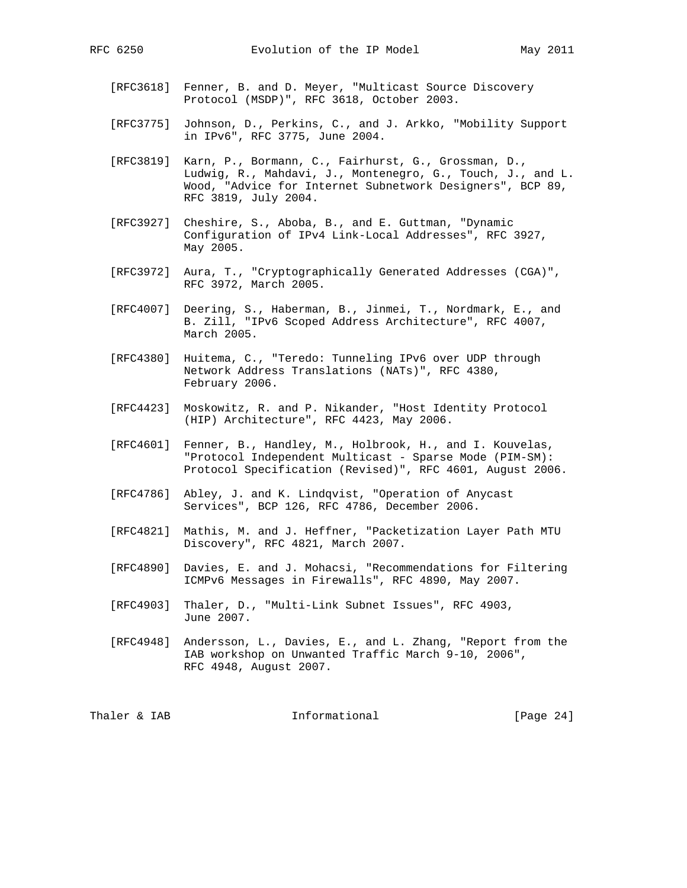- [RFC3618] Fenner, B. and D. Meyer, "Multicast Source Discovery Protocol (MSDP)", RFC 3618, October 2003.
- [RFC3775] Johnson, D., Perkins, C., and J. Arkko, "Mobility Support in IPv6", RFC 3775, June 2004.
- [RFC3819] Karn, P., Bormann, C., Fairhurst, G., Grossman, D., Ludwig, R., Mahdavi, J., Montenegro, G., Touch, J., and L. Wood, "Advice for Internet Subnetwork Designers", BCP 89, RFC 3819, July 2004.
- [RFC3927] Cheshire, S., Aboba, B., and E. Guttman, "Dynamic Configuration of IPv4 Link-Local Addresses", RFC 3927, May 2005.
- [RFC3972] Aura, T., "Cryptographically Generated Addresses (CGA)", RFC 3972, March 2005.
- [RFC4007] Deering, S., Haberman, B., Jinmei, T., Nordmark, E., and B. Zill, "IPv6 Scoped Address Architecture", RFC 4007, March 2005.
- [RFC4380] Huitema, C., "Teredo: Tunneling IPv6 over UDP through Network Address Translations (NATs)", RFC 4380, February 2006.
- [RFC4423] Moskowitz, R. and P. Nikander, "Host Identity Protocol (HIP) Architecture", RFC 4423, May 2006.
- [RFC4601] Fenner, B., Handley, M., Holbrook, H., and I. Kouvelas, "Protocol Independent Multicast - Sparse Mode (PIM-SM): Protocol Specification (Revised)", RFC 4601, August 2006.
- [RFC4786] Abley, J. and K. Lindqvist, "Operation of Anycast Services", BCP 126, RFC 4786, December 2006.
- [RFC4821] Mathis, M. and J. Heffner, "Packetization Layer Path MTU Discovery", RFC 4821, March 2007.
- [RFC4890] Davies, E. and J. Mohacsi, "Recommendations for Filtering ICMPv6 Messages in Firewalls", RFC 4890, May 2007.
- [RFC4903] Thaler, D., "Multi-Link Subnet Issues", RFC 4903, June 2007.
- [RFC4948] Andersson, L., Davies, E., and L. Zhang, "Report from the IAB workshop on Unwanted Traffic March 9-10, 2006", RFC 4948, August 2007.

Thaler & IAB **Informational** [Page 24]